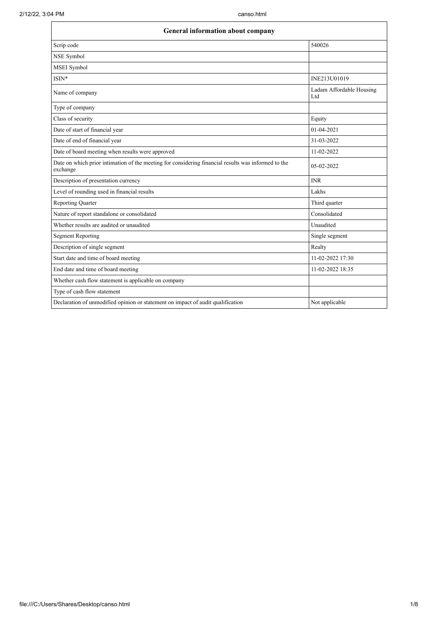| <b>General information about company</b>                                                                        |                                 |  |
|-----------------------------------------------------------------------------------------------------------------|---------------------------------|--|
| Scrip code                                                                                                      | 540026                          |  |
| NSE Symbol                                                                                                      |                                 |  |
| <b>MSEI</b> Symbol                                                                                              |                                 |  |
| $ISIN*$                                                                                                         | INE213U01019                    |  |
| Name of company                                                                                                 | Ladam Affordable Housing<br>Ltd |  |
| Type of company                                                                                                 |                                 |  |
| Class of security                                                                                               | Equity                          |  |
| Date of start of financial year                                                                                 | 01-04-2021                      |  |
| Date of end of financial year                                                                                   | 31-03-2022                      |  |
| Date of board meeting when results were approved                                                                | 11-02-2022                      |  |
| Date on which prior intimation of the meeting for considering financial results was informed to the<br>exchange | 05-02-2022                      |  |
| Description of presentation currency                                                                            | <b>INR</b>                      |  |
| Level of rounding used in financial results                                                                     | Lakhs                           |  |
| <b>Reporting Quarter</b>                                                                                        | Third quarter                   |  |
| Nature of report standalone or consolidated                                                                     | Consolidated                    |  |
| Whether results are audited or unaudited                                                                        | Unaudited                       |  |
| <b>Segment Reporting</b>                                                                                        | Single segment                  |  |
| Description of single segment                                                                                   | Realty                          |  |
| Start date and time of board meeting                                                                            | 11-02-2022 17:30                |  |
| End date and time of board meeting                                                                              | 11-02-2022 18:35                |  |
| Whether cash flow statement is applicable on company                                                            |                                 |  |
| Type of cash flow statement                                                                                     |                                 |  |
| Declaration of unmodified opinion or statement on impact of audit qualification                                 | Not applicable                  |  |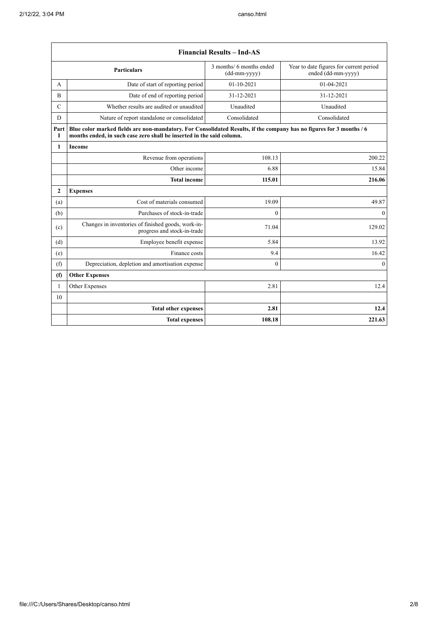|               |                                                                                                                                                                                               | <b>Financial Results - Ind-AS</b>        |                                                               |
|---------------|-----------------------------------------------------------------------------------------------------------------------------------------------------------------------------------------------|------------------------------------------|---------------------------------------------------------------|
|               | <b>Particulars</b>                                                                                                                                                                            | 3 months/ 6 months ended<br>(dd-mm-yyyy) | Year to date figures for current period<br>ended (dd-mm-yyyy) |
| A             | Date of start of reporting period                                                                                                                                                             | $01 - 10 - 2021$                         | 01-04-2021                                                    |
| B             | Date of end of reporting period                                                                                                                                                               | 31-12-2021                               | 31-12-2021                                                    |
| $\mathcal{C}$ | Whether results are audited or unaudited                                                                                                                                                      | Unaudited                                | Unaudited                                                     |
| D             | Nature of report standalone or consolidated                                                                                                                                                   | Consolidated                             | Consolidated                                                  |
| Part<br>Т     | Blue color marked fields are non-mandatory. For Consolidated Results, if the company has no figures for 3 months / 6<br>months ended, in such case zero shall be inserted in the said column. |                                          |                                                               |
| 1             | <b>Income</b>                                                                                                                                                                                 |                                          |                                                               |
|               | Revenue from operations                                                                                                                                                                       | 108.13                                   | 200.22                                                        |
|               | Other income                                                                                                                                                                                  | 6.88                                     | 15.84                                                         |
|               | <b>Total income</b>                                                                                                                                                                           | 115.01                                   | 216.06                                                        |
| $\mathbf{2}$  | <b>Expenses</b>                                                                                                                                                                               |                                          |                                                               |
| (a)           | Cost of materials consumed                                                                                                                                                                    | 19.09                                    | 49.87                                                         |
| (b)           | Purchases of stock-in-trade                                                                                                                                                                   | $\mathbf{0}$                             | $\mathbf{0}$                                                  |
| (c)           | Changes in inventories of finished goods, work-in-<br>progress and stock-in-trade                                                                                                             | 71.04                                    | 129.02                                                        |
| (d)           | Employee benefit expense                                                                                                                                                                      | 5.84                                     | 13.92                                                         |
| (e)           | Finance costs                                                                                                                                                                                 | 9.4                                      | 16.42                                                         |
| (f)           | Depreciation, depletion and amortisation expense                                                                                                                                              | $\mathbf{0}$                             | $\mathbf{0}$                                                  |
| (f)           | <b>Other Expenses</b>                                                                                                                                                                         |                                          |                                                               |
| 1             | Other Expenses                                                                                                                                                                                | 2.81                                     | 12.4                                                          |
| 10            |                                                                                                                                                                                               |                                          |                                                               |
|               | <b>Total other expenses</b>                                                                                                                                                                   | 2.81                                     | 12.4                                                          |
|               | <b>Total expenses</b>                                                                                                                                                                         | 108.18                                   | 221.63                                                        |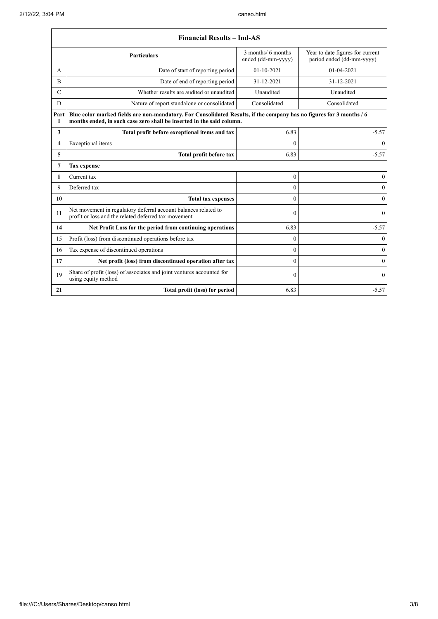$\mathbf{r}$ 

 $\overline{\phantom{0}}$ 

| <b>Financial Results - Ind-AS</b> |                                                                                                                                                                                               |                                          |                                                               |  |
|-----------------------------------|-----------------------------------------------------------------------------------------------------------------------------------------------------------------------------------------------|------------------------------------------|---------------------------------------------------------------|--|
|                                   | <b>Particulars</b>                                                                                                                                                                            | 3 months/ 6 months<br>ended (dd-mm-yyyy) | Year to date figures for current<br>period ended (dd-mm-yyyy) |  |
| A                                 | Date of start of reporting period                                                                                                                                                             | $01 - 10 - 2021$                         | 01-04-2021                                                    |  |
| B                                 | Date of end of reporting period                                                                                                                                                               | 31-12-2021                               | 31-12-2021                                                    |  |
| $\mathcal{C}$                     | Whether results are audited or unaudited                                                                                                                                                      | Unaudited                                | Unaudited                                                     |  |
| D                                 | Nature of report standalone or consolidated                                                                                                                                                   | Consolidated                             | Consolidated                                                  |  |
| Part<br>Т                         | Blue color marked fields are non-mandatory. For Consolidated Results, if the company has no figures for 3 months / 6<br>months ended, in such case zero shall be inserted in the said column. |                                          |                                                               |  |
| 3                                 | Total profit before exceptional items and tax                                                                                                                                                 | 6.83                                     | $-5.57$                                                       |  |
| 4                                 | Exceptional items                                                                                                                                                                             | $\theta$                                 | $\theta$                                                      |  |
| 5                                 | Total profit before tax                                                                                                                                                                       | 6.83                                     | $-5.57$                                                       |  |
| 7                                 | <b>Tax expense</b>                                                                                                                                                                            |                                          |                                                               |  |
| 8                                 | Current tax                                                                                                                                                                                   | $\mathbf{0}$                             | $\mathbf{0}$                                                  |  |
| $\mathbf{Q}$                      | Deferred tax                                                                                                                                                                                  | $\theta$                                 | $\mathbf{0}$                                                  |  |
| 10                                | <b>Total tax expenses</b>                                                                                                                                                                     | $\theta$                                 | $\Omega$                                                      |  |
| 11                                | Net movement in regulatory deferral account balances related to<br>profit or loss and the related deferred tax movement                                                                       | $\mathbf{0}$                             | $\mathbf{0}$                                                  |  |
| 14                                | Net Profit Loss for the period from continuing operations                                                                                                                                     | 6.83                                     | $-5.57$                                                       |  |
| 15                                | Profit (loss) from discontinued operations before tax                                                                                                                                         | $\mathbf{0}$                             | $\mathbf{0}$                                                  |  |
| 16                                | Tax expense of discontinued operations                                                                                                                                                        | $\theta$                                 | $\mathbf{0}$                                                  |  |
| 17                                | Net profit (loss) from discontinued operation after tax                                                                                                                                       | $\theta$                                 | $\mathbf{0}$                                                  |  |
| 19                                | Share of profit (loss) of associates and joint ventures accounted for<br>using equity method                                                                                                  | $\mathbf{0}$                             | $\theta$                                                      |  |
| 21                                | Total profit (loss) for period                                                                                                                                                                | 6.83                                     | $-5.57$                                                       |  |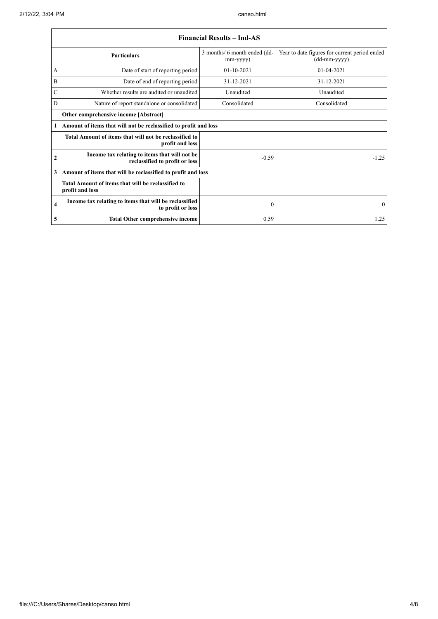|   | <b>Financial Results - Ind-AS</b>                                               |                                                |                                                                 |  |
|---|---------------------------------------------------------------------------------|------------------------------------------------|-----------------------------------------------------------------|--|
|   | <b>Particulars</b>                                                              | 3 months/ 6 month ended (dd-<br>$mm$ -yyyy $)$ | Year to date figures for current period ended<br>$(dd-mm-yyyy)$ |  |
| A | Date of start of reporting period                                               | $01-10-2021$                                   | $01 - 04 - 2021$                                                |  |
| B | Date of end of reporting period                                                 | 31-12-2021                                     | 31-12-2021                                                      |  |
| Ċ | Whether results are audited or unaudited                                        | Unaudited                                      | Unaudited                                                       |  |
| D | Nature of report standalone or consolidated                                     | Consolidated                                   | Consolidated                                                    |  |
|   | Other comprehensive income [Abstract]                                           |                                                |                                                                 |  |
| 1 | Amount of items that will not be reclassified to profit and loss                |                                                |                                                                 |  |
|   | Total Amount of items that will not be reclassified to<br>profit and loss       |                                                |                                                                 |  |
| 2 | Income tax relating to items that will not be<br>reclassified to profit or loss | $-0.59$                                        | $-1.25$                                                         |  |
| 3 | Amount of items that will be reclassified to profit and loss                    |                                                |                                                                 |  |
|   | Total Amount of items that will be reclassified to<br>profit and loss           |                                                |                                                                 |  |
| 4 | Income tax relating to items that will be reclassified<br>to profit or loss     | $\theta$                                       | $\theta$                                                        |  |
| 5 | <b>Total Other comprehensive income</b>                                         | 0.59                                           | 1.25                                                            |  |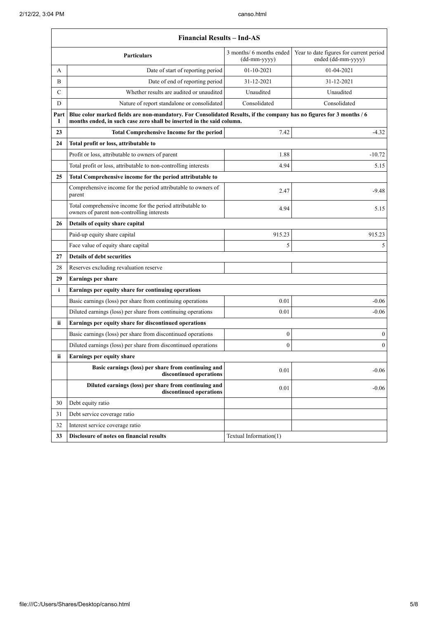$\mathbf{r}$ 

|               | <b>Financial Results - Ind-AS</b>                                                                                                                                                             |                                          |                                                               |  |
|---------------|-----------------------------------------------------------------------------------------------------------------------------------------------------------------------------------------------|------------------------------------------|---------------------------------------------------------------|--|
|               | Particulars                                                                                                                                                                                   | 3 months/ 6 months ended<br>(dd-mm-yyyy) | Year to date figures for current period<br>ended (dd-mm-yyyy) |  |
| А             | Date of start of reporting period                                                                                                                                                             | $01 - 10 - 2021$                         | 01-04-2021                                                    |  |
| В             | Date of end of reporting period                                                                                                                                                               | 31-12-2021                               | 31-12-2021                                                    |  |
| $\mathcal{C}$ | Whether results are audited or unaudited                                                                                                                                                      | Unaudited                                | Unaudited                                                     |  |
| D             | Nature of report standalone or consolidated                                                                                                                                                   | Consolidated                             | Consolidated                                                  |  |
| Part<br>1     | Blue color marked fields are non-mandatory. For Consolidated Results, if the company has no figures for 3 months / 6<br>months ended, in such case zero shall be inserted in the said column. |                                          |                                                               |  |
| 23            | <b>Total Comprehensive Income for the period</b>                                                                                                                                              | 7.42                                     | $-4.32$                                                       |  |
| 24            | Total profit or loss, attributable to                                                                                                                                                         |                                          |                                                               |  |
|               | Profit or loss, attributable to owners of parent                                                                                                                                              | 1.88                                     | $-10.72$                                                      |  |
|               | Total profit or loss, attributable to non-controlling interests                                                                                                                               | 4.94                                     | 5.15                                                          |  |
| 25            | Total Comprehensive income for the period attributable to                                                                                                                                     |                                          |                                                               |  |
|               | Comprehensive income for the period attributable to owners of<br>parent                                                                                                                       | 2.47                                     | $-9.48$                                                       |  |
|               | Total comprehensive income for the period attributable to<br>owners of parent non-controlling interests                                                                                       | 4.94                                     | 5.15                                                          |  |
| 26            | Details of equity share capital                                                                                                                                                               |                                          |                                                               |  |
|               | Paid-up equity share capital                                                                                                                                                                  | 915.23                                   | 915.23                                                        |  |
|               | Face value of equity share capital                                                                                                                                                            | 5                                        | 5                                                             |  |
| 27            | <b>Details of debt securities</b>                                                                                                                                                             |                                          |                                                               |  |
| 28            | Reserves excluding revaluation reserve                                                                                                                                                        |                                          |                                                               |  |
| 29            | Earnings per share                                                                                                                                                                            |                                          |                                                               |  |
| i             | Earnings per equity share for continuing operations                                                                                                                                           |                                          |                                                               |  |
|               | Basic earnings (loss) per share from continuing operations                                                                                                                                    | 0.01                                     | $-0.06$                                                       |  |
|               | Diluted earnings (loss) per share from continuing operations                                                                                                                                  | 0.01                                     | $-0.06$                                                       |  |
| <b>ii</b>     | Earnings per equity share for discontinued operations                                                                                                                                         |                                          |                                                               |  |
|               | Basic earnings (loss) per share from discontinued operations                                                                                                                                  | $\boldsymbol{0}$                         | $\boldsymbol{0}$                                              |  |
|               | Diluted earnings (loss) per share from discontinued operations                                                                                                                                | $\theta$                                 | $\boldsymbol{0}$                                              |  |
| ii            | Earnings per equity share                                                                                                                                                                     |                                          |                                                               |  |
|               | Basic earnings (loss) per share from continuing and<br>discontinued operations                                                                                                                | 0.01                                     | $-0.06$                                                       |  |
|               | Diluted earnings (loss) per share from continuing and<br>discontinued operations                                                                                                              | 0.01                                     | $-0.06$                                                       |  |
| 30            | Debt equity ratio                                                                                                                                                                             |                                          |                                                               |  |
| 31            | Debt service coverage ratio                                                                                                                                                                   |                                          |                                                               |  |
| 32            | Interest service coverage ratio                                                                                                                                                               |                                          |                                                               |  |
| 33            | Disclosure of notes on financial results                                                                                                                                                      | Textual Information(1)                   |                                                               |  |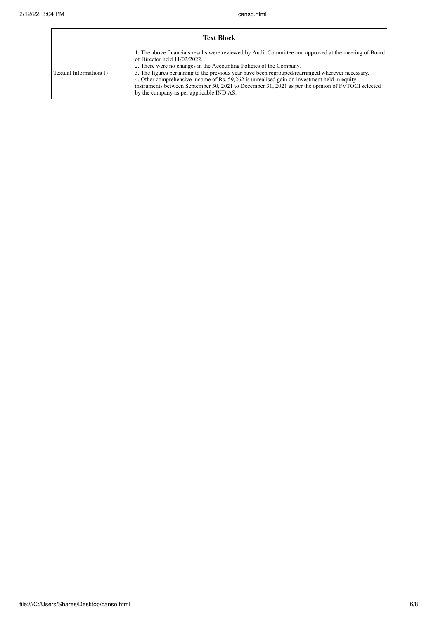|                        | <b>Text Block</b>                                                                                                                                                                                                                                                                                                                                                                                                                                                                                                                                                    |
|------------------------|----------------------------------------------------------------------------------------------------------------------------------------------------------------------------------------------------------------------------------------------------------------------------------------------------------------------------------------------------------------------------------------------------------------------------------------------------------------------------------------------------------------------------------------------------------------------|
| Textual Information(1) | 1. The above financials results were reviewed by Audit Committee and approved at the meeting of Board<br>of Director held $11/02/2022$ .<br>2. There were no changes in the Accounting Policies of the Company.<br>3. The figures pertaining to the previous year have been regrouped/rearranged wherever necessary.<br>4. Other comprehensive income of Rs. 59,262 is unrealised gain on investment held in equity<br>instruments between September 30, 2021 to December 31, 2021 as per the opinion of FVTOCI selected<br>by the company as per applicable IND AS. |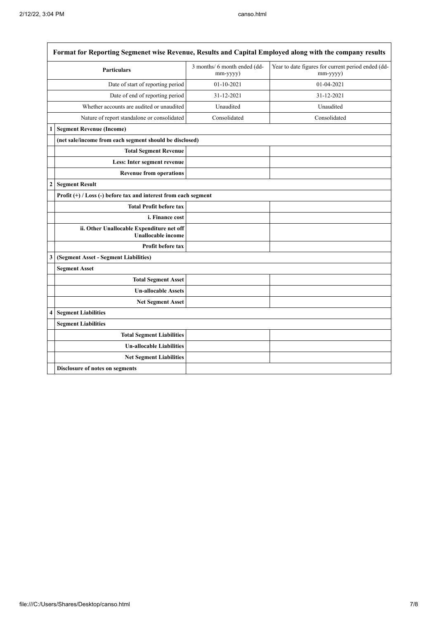| <b>Particulars</b>                                                     | 3 months/ 6 month ended (dd-<br>mm-yyyy) | Year to date figures for current period ended (dd-<br>mm-yyyy) |  |
|------------------------------------------------------------------------|------------------------------------------|----------------------------------------------------------------|--|
| Date of start of reporting period                                      | $01 - 10 - 2021$                         | 01-04-2021                                                     |  |
| Date of end of reporting period                                        | 31-12-2021                               | 31-12-2021                                                     |  |
| Whether accounts are audited or unaudited                              | Unaudited                                | Unaudited                                                      |  |
| Nature of report standalone or consolidated                            | Consolidated                             | Consolidated                                                   |  |
| <b>Segment Revenue (Income)</b>                                        |                                          |                                                                |  |
| (net sale/income from each segment should be disclosed)                |                                          |                                                                |  |
| <b>Total Segment Revenue</b>                                           |                                          |                                                                |  |
| Less: Inter segment revenue                                            |                                          |                                                                |  |
| <b>Revenue from operations</b>                                         |                                          |                                                                |  |
| $\mathbf{2}$<br><b>Segment Result</b>                                  |                                          |                                                                |  |
| Profit $(+)$ / Loss (-) before tax and interest from each segment      |                                          |                                                                |  |
| <b>Total Profit before tax</b>                                         |                                          |                                                                |  |
| i. Finance cost                                                        |                                          |                                                                |  |
| ii. Other Unallocable Expenditure net off<br><b>Unallocable income</b> |                                          |                                                                |  |
| Profit before tax                                                      |                                          |                                                                |  |
| 3<br>(Segment Asset - Segment Liabilities)                             |                                          |                                                                |  |
| <b>Segment Asset</b>                                                   |                                          |                                                                |  |
| <b>Total Segment Asset</b>                                             |                                          |                                                                |  |
| <b>Un-allocable Assets</b>                                             |                                          |                                                                |  |
| <b>Net Segment Asset</b>                                               |                                          |                                                                |  |
| <b>Segment Liabilities</b><br>4                                        |                                          |                                                                |  |
| <b>Segment Liabilities</b>                                             |                                          |                                                                |  |
| <b>Total Segment Liabilities</b>                                       |                                          |                                                                |  |
| <b>Un-allocable Liabilities</b>                                        |                                          |                                                                |  |
| <b>Net Segment Liabilities</b>                                         |                                          |                                                                |  |
| Disclosure of notes on segments                                        |                                          |                                                                |  |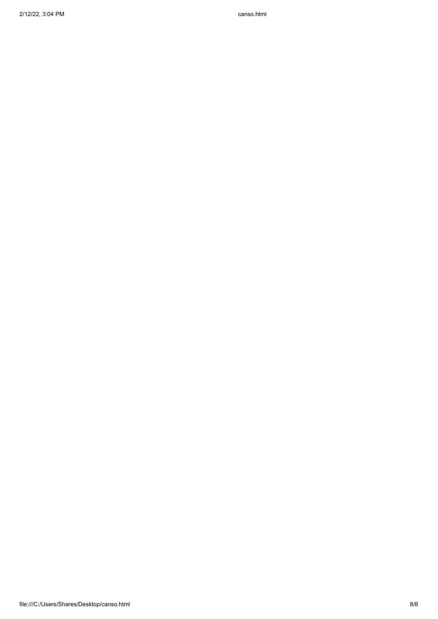2/12/22, 3:04 PM canso.html